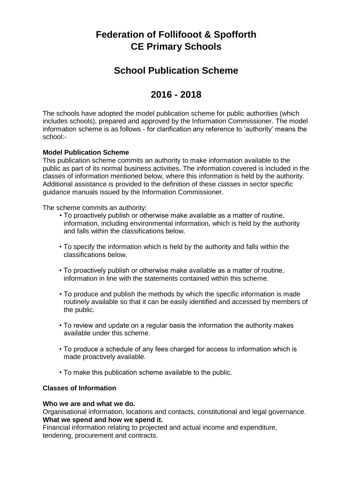# **Federation of Follifooot & Spofforth CE Primary Schools**

## **School Publication Scheme**

## **2016 - 2018**

The schools have adopted the model publication scheme for public authorities (which includes schools), prepared and approved by the Information Commissioner. The model information scheme is as follows - for clarification any reference to 'authority' means the school:-

### **Model Publication Scheme**

This publication scheme commits an authority to make information available to the public as part of its normal business activities. The information covered is included in the classes of information mentioned below, where this information is held by the authority. Additional assistance is provided to the definition of these classes in sector specific guidance manuals issued by the Information Commissioner.

The scheme commits an authority:

- To proactively publish or otherwise make available as a matter of routine, information, including environmental information, which is held by the authority and falls within the classifications below.
- To specify the information which is held by the authority and falls within the classifications below.
- To proactively publish or otherwise make available as a matter of routine, information in line with the statements contained within this scheme.
- To produce and publish the methods by which the specific information is made routinely available so that it can be easily identified and accessed by members of the public.
- To review and update on a regular basis the information the authority makes available under this scheme.
- To produce a schedule of any fees charged for access to information which is made proactively available.
- To make this publication scheme available to the public.

### **Classes of Information**

#### **Who we are and what we do.**

Organisational information, locations and contacts, constitutional and legal governance. **What we spend and how we spend it.** 

Financial information relating to projected and actual income and expenditure, tendering, procurement and contracts.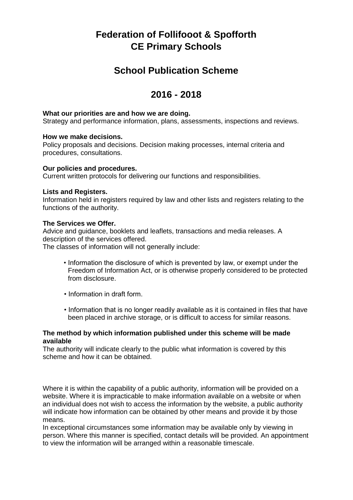# **Federation of Follifooot & Spofforth CE Primary Schools**

## **School Publication Scheme**

## **2016 - 2018**

#### **What our priorities are and how we are doing.**

Strategy and performance information, plans, assessments, inspections and reviews.

#### **How we make decisions.**

Policy proposals and decisions. Decision making processes, internal criteria and procedures, consultations.

#### **Our policies and procedures.**

Current written protocols for delivering our functions and responsibilities.

#### **Lists and Registers.**

Information held in registers required by law and other lists and registers relating to the functions of the authority.

#### **The Services we Offer.**

Advice and guidance, booklets and leaflets, transactions and media releases. A description of the services offered.

The classes of information will not generally include:

- Information the disclosure of which is prevented by law, or exempt under the Freedom of Information Act, or is otherwise properly considered to be protected from disclosure.
- Information in draft form.
- Information that is no longer readily available as it is contained in files that have been placed in archive storage, or is difficult to access for similar reasons.

#### **The method by which information published under this scheme will be made available**

The authority will indicate clearly to the public what information is covered by this scheme and how it can be obtained.

Where it is within the capability of a public authority, information will be provided on a website. Where it is impracticable to make information available on a website or when an individual does not wish to access the information by the website, a public authority will indicate how information can be obtained by other means and provide it by those means.

In exceptional circumstances some information may be available only by viewing in person. Where this manner is specified, contact details will be provided. An appointment to view the information will be arranged within a reasonable timescale.